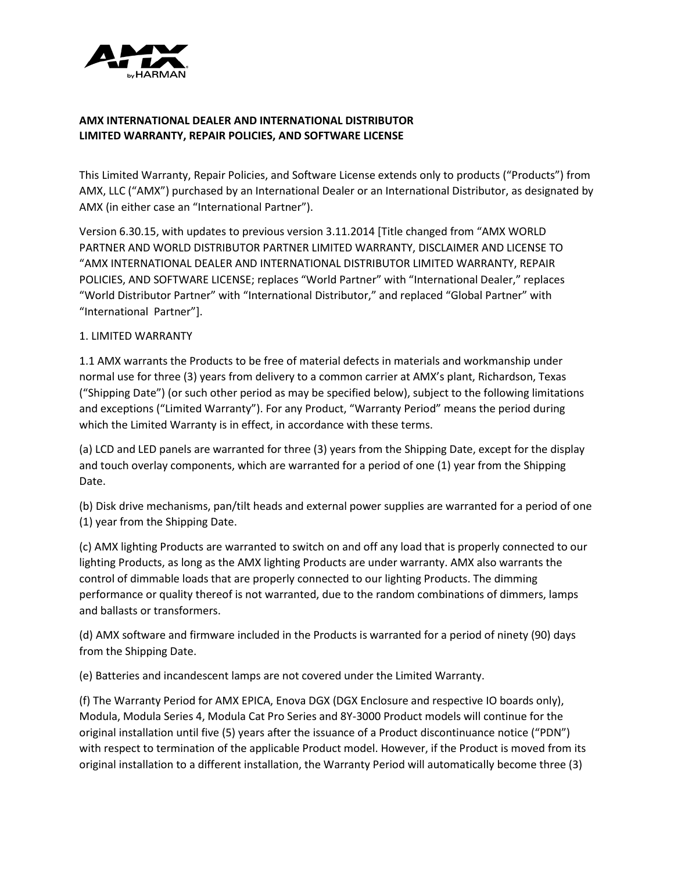

# **AMX INTERNATIONAL DEALER AND INTERNATIONAL DISTRIBUTOR LIMITED WARRANTY, REPAIR POLICIES, AND SOFTWARE LICENSE**

This Limited Warranty, Repair Policies, and Software License extends only to products ("Products") from AMX, LLC ("AMX") purchased by an International Dealer or an International Distributor, as designated by AMX (in either case an "International Partner").

Version 6.30.15, with updates to previous version 3.11.2014 [Title changed from "AMX WORLD PARTNER AND WORLD DISTRIBUTOR PARTNER LIMITED WARRANTY, DISCLAIMER AND LICENSE TO "AMX INTERNATIONAL DEALER AND INTERNATIONAL DISTRIBUTOR LIMITED WARRANTY, REPAIR POLICIES, AND SOFTWARE LICENSE; replaces "World Partner" with "International Dealer," replaces "World Distributor Partner" with "International Distributor," and replaced "Global Partner" with "International Partner"].

# 1. LIMITED WARRANTY

1.1 AMX warrants the Products to be free of material defects in materials and workmanship under normal use for three (3) years from delivery to a common carrier at AMX's plant, Richardson, Texas ("Shipping Date") (or such other period as may be specified below), subject to the following limitations and exceptions ("Limited Warranty"). For any Product, "Warranty Period" means the period during which the Limited Warranty is in effect, in accordance with these terms.

(a) LCD and LED panels are warranted for three (3) years from the Shipping Date, except for the display and touch overlay components, which are warranted for a period of one (1) year from the Shipping Date.

(b) Disk drive mechanisms, pan/tilt heads and external power supplies are warranted for a period of one (1) year from the Shipping Date.

(c) AMX lighting Products are warranted to switch on and off any load that is properly connected to our lighting Products, as long as the AMX lighting Products are under warranty. AMX also warrants the control of dimmable loads that are properly connected to our lighting Products. The dimming performance or quality thereof is not warranted, due to the random combinations of dimmers, lamps and ballasts or transformers.

(d) AMX software and firmware included in the Products is warranted for a period of ninety (90) days from the Shipping Date.

(e) Batteries and incandescent lamps are not covered under the Limited Warranty.

(f) The Warranty Period for AMX EPICA, Enova DGX (DGX Enclosure and respective IO boards only), Modula, Modula Series 4, Modula Cat Pro Series and 8Y-3000 Product models will continue for the original installation until five (5) years after the issuance of a Product discontinuance notice ("PDN") with respect to termination of the applicable Product model. However, if the Product is moved from its original installation to a different installation, the Warranty Period will automatically become three (3)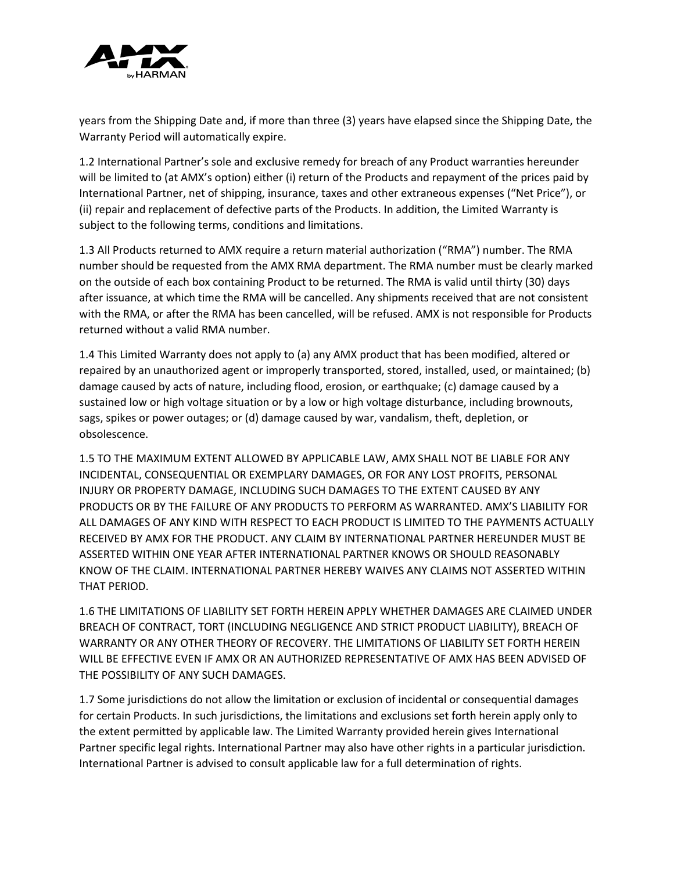

years from the Shipping Date and, if more than three (3) years have elapsed since the Shipping Date, the Warranty Period will automatically expire.

1.2 International Partner's sole and exclusive remedy for breach of any Product warranties hereunder will be limited to (at AMX's option) either (i) return of the Products and repayment of the prices paid by International Partner, net of shipping, insurance, taxes and other extraneous expenses ("Net Price"), or (ii) repair and replacement of defective parts of the Products. In addition, the Limited Warranty is subject to the following terms, conditions and limitations.

1.3 All Products returned to AMX require a return material authorization ("RMA") number. The RMA number should be requested from the AMX RMA department. The RMA number must be clearly marked on the outside of each box containing Product to be returned. The RMA is valid until thirty (30) days after issuance, at which time the RMA will be cancelled. Any shipments received that are not consistent with the RMA, or after the RMA has been cancelled, will be refused. AMX is not responsible for Products returned without a valid RMA number.

1.4 This Limited Warranty does not apply to (a) any AMX product that has been modified, altered or repaired by an unauthorized agent or improperly transported, stored, installed, used, or maintained; (b) damage caused by acts of nature, including flood, erosion, or earthquake; (c) damage caused by a sustained low or high voltage situation or by a low or high voltage disturbance, including brownouts, sags, spikes or power outages; or (d) damage caused by war, vandalism, theft, depletion, or obsolescence.

1.5 TO THE MAXIMUM EXTENT ALLOWED BY APPLICABLE LAW, AMX SHALL NOT BE LIABLE FOR ANY INCIDENTAL, CONSEQUENTIAL OR EXEMPLARY DAMAGES, OR FOR ANY LOST PROFITS, PERSONAL INJURY OR PROPERTY DAMAGE, INCLUDING SUCH DAMAGES TO THE EXTENT CAUSED BY ANY PRODUCTS OR BY THE FAILURE OF ANY PRODUCTS TO PERFORM AS WARRANTED. AMX'S LIABILITY FOR ALL DAMAGES OF ANY KIND WITH RESPECT TO EACH PRODUCT IS LIMITED TO THE PAYMENTS ACTUALLY RECEIVED BY AMX FOR THE PRODUCT. ANY CLAIM BY INTERNATIONAL PARTNER HEREUNDER MUST BE ASSERTED WITHIN ONE YEAR AFTER INTERNATIONAL PARTNER KNOWS OR SHOULD REASONABLY KNOW OF THE CLAIM. INTERNATIONAL PARTNER HEREBY WAIVES ANY CLAIMS NOT ASSERTED WITHIN THAT PERIOD.

1.6 THE LIMITATIONS OF LIABILITY SET FORTH HEREIN APPLY WHETHER DAMAGES ARE CLAIMED UNDER BREACH OF CONTRACT, TORT (INCLUDING NEGLIGENCE AND STRICT PRODUCT LIABILITY), BREACH OF WARRANTY OR ANY OTHER THEORY OF RECOVERY. THE LIMITATIONS OF LIABILITY SET FORTH HEREIN WILL BE EFFECTIVE EVEN IF AMX OR AN AUTHORIZED REPRESENTATIVE OF AMX HAS BEEN ADVISED OF THE POSSIBILITY OF ANY SUCH DAMAGES.

1.7 Some jurisdictions do not allow the limitation or exclusion of incidental or consequential damages for certain Products. In such jurisdictions, the limitations and exclusions set forth herein apply only to the extent permitted by applicable law. The Limited Warranty provided herein gives International Partner specific legal rights. International Partner may also have other rights in a particular jurisdiction. International Partner is advised to consult applicable law for a full determination of rights.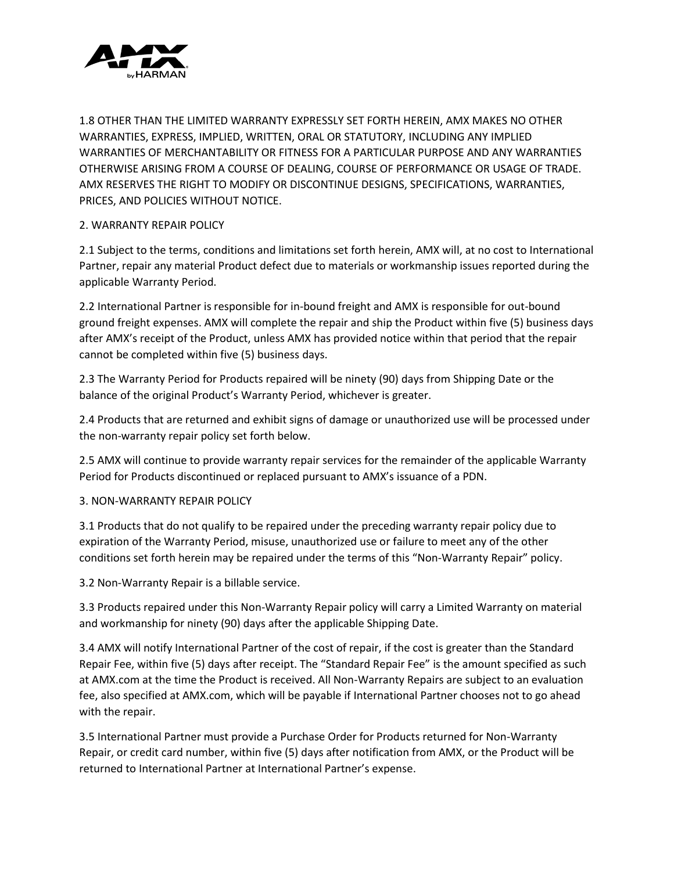

1.8 OTHER THAN THE LIMITED WARRANTY EXPRESSLY SET FORTH HEREIN, AMX MAKES NO OTHER WARRANTIES, EXPRESS, IMPLIED, WRITTEN, ORAL OR STATUTORY, INCLUDING ANY IMPLIED WARRANTIES OF MERCHANTABILITY OR FITNESS FOR A PARTICULAR PURPOSE AND ANY WARRANTIES OTHERWISE ARISING FROM A COURSE OF DEALING, COURSE OF PERFORMANCE OR USAGE OF TRADE. AMX RESERVES THE RIGHT TO MODIFY OR DISCONTINUE DESIGNS, SPECIFICATIONS, WARRANTIES, PRICES, AND POLICIES WITHOUT NOTICE.

# 2. WARRANTY REPAIR POLICY

2.1 Subject to the terms, conditions and limitations set forth herein, AMX will, at no cost to International Partner, repair any material Product defect due to materials or workmanship issues reported during the applicable Warranty Period.

2.2 International Partner is responsible for in-bound freight and AMX is responsible for out-bound ground freight expenses. AMX will complete the repair and ship the Product within five (5) business days after AMX's receipt of the Product, unless AMX has provided notice within that period that the repair cannot be completed within five (5) business days.

2.3 The Warranty Period for Products repaired will be ninety (90) days from Shipping Date or the balance of the original Product's Warranty Period, whichever is greater.

2.4 Products that are returned and exhibit signs of damage or unauthorized use will be processed under the non-warranty repair policy set forth below.

2.5 AMX will continue to provide warranty repair services for the remainder of the applicable Warranty Period for Products discontinued or replaced pursuant to AMX's issuance of a PDN.

#### 3. NON-WARRANTY REPAIR POLICY

3.1 Products that do not qualify to be repaired under the preceding warranty repair policy due to expiration of the Warranty Period, misuse, unauthorized use or failure to meet any of the other conditions set forth herein may be repaired under the terms of this "Non-Warranty Repair" policy.

3.2 Non-Warranty Repair is a billable service.

3.3 Products repaired under this Non-Warranty Repair policy will carry a Limited Warranty on material and workmanship for ninety (90) days after the applicable Shipping Date.

3.4 AMX will notify International Partner of the cost of repair, if the cost is greater than the Standard Repair Fee, within five (5) days after receipt. The "Standard Repair Fee" is the amount specified as such at AMX.com at the time the Product is received. All Non-Warranty Repairs are subject to an evaluation fee, also specified at AMX.com, which will be payable if International Partner chooses not to go ahead with the repair.

3.5 International Partner must provide a Purchase Order for Products returned for Non-Warranty Repair, or credit card number, within five (5) days after notification from AMX, or the Product will be returned to International Partner at International Partner's expense.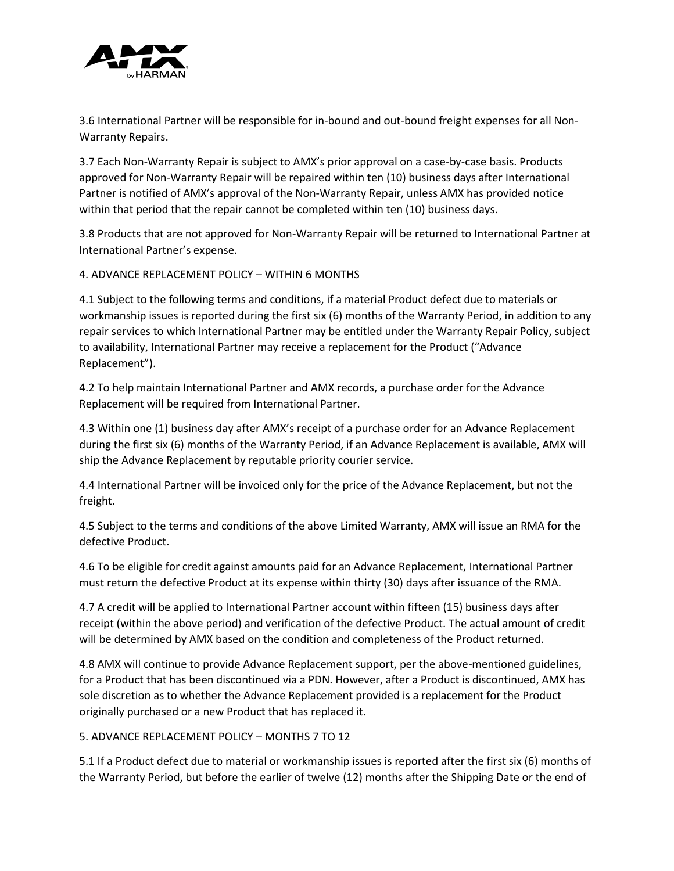

3.6 International Partner will be responsible for in-bound and out-bound freight expenses for all Non-Warranty Repairs.

3.7 Each Non-Warranty Repair is subject to AMX's prior approval on a case-by-case basis. Products approved for Non-Warranty Repair will be repaired within ten (10) business days after International Partner is notified of AMX's approval of the Non-Warranty Repair, unless AMX has provided notice within that period that the repair cannot be completed within ten (10) business days.

3.8 Products that are not approved for Non-Warranty Repair will be returned to International Partner at International Partner's expense.

# 4. ADVANCE REPLACEMENT POLICY – WITHIN 6 MONTHS

4.1 Subject to the following terms and conditions, if a material Product defect due to materials or workmanship issues is reported during the first six (6) months of the Warranty Period, in addition to any repair services to which International Partner may be entitled under the Warranty Repair Policy, subject to availability, International Partner may receive a replacement for the Product ("Advance Replacement").

4.2 To help maintain International Partner and AMX records, a purchase order for the Advance Replacement will be required from International Partner.

4.3 Within one (1) business day after AMX's receipt of a purchase order for an Advance Replacement during the first six (6) months of the Warranty Period, if an Advance Replacement is available, AMX will ship the Advance Replacement by reputable priority courier service.

4.4 International Partner will be invoiced only for the price of the Advance Replacement, but not the freight.

4.5 Subject to the terms and conditions of the above Limited Warranty, AMX will issue an RMA for the defective Product.

4.6 To be eligible for credit against amounts paid for an Advance Replacement, International Partner must return the defective Product at its expense within thirty (30) days after issuance of the RMA.

4.7 A credit will be applied to International Partner account within fifteen (15) business days after receipt (within the above period) and verification of the defective Product. The actual amount of credit will be determined by AMX based on the condition and completeness of the Product returned.

4.8 AMX will continue to provide Advance Replacement support, per the above-mentioned guidelines, for a Product that has been discontinued via a PDN. However, after a Product is discontinued, AMX has sole discretion as to whether the Advance Replacement provided is a replacement for the Product originally purchased or a new Product that has replaced it.

#### 5. ADVANCE REPLACEMENT POLICY – MONTHS 7 TO 12

5.1 If a Product defect due to material or workmanship issues is reported after the first six (6) months of the Warranty Period, but before the earlier of twelve (12) months after the Shipping Date or the end of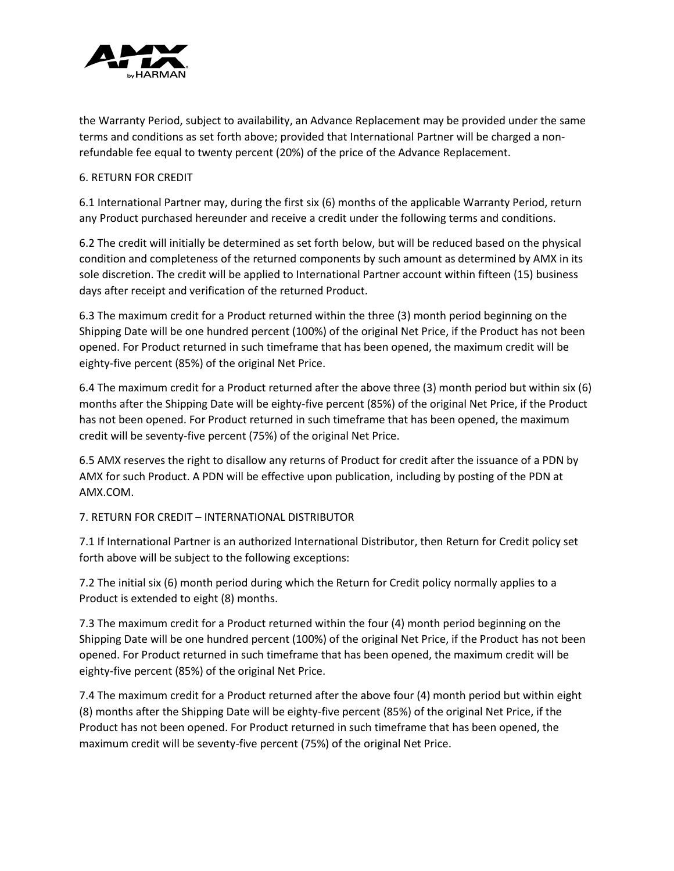

the Warranty Period, subject to availability, an Advance Replacement may be provided under the same terms and conditions as set forth above; provided that International Partner will be charged a nonrefundable fee equal to twenty percent (20%) of the price of the Advance Replacement.

### 6. RETURN FOR CREDIT

6.1 International Partner may, during the first six (6) months of the applicable Warranty Period, return any Product purchased hereunder and receive a credit under the following terms and conditions.

6.2 The credit will initially be determined as set forth below, but will be reduced based on the physical condition and completeness of the returned components by such amount as determined by AMX in its sole discretion. The credit will be applied to International Partner account within fifteen (15) business days after receipt and verification of the returned Product.

6.3 The maximum credit for a Product returned within the three (3) month period beginning on the Shipping Date will be one hundred percent (100%) of the original Net Price, if the Product has not been opened. For Product returned in such timeframe that has been opened, the maximum credit will be eighty-five percent (85%) of the original Net Price.

6.4 The maximum credit for a Product returned after the above three (3) month period but within six (6) months after the Shipping Date will be eighty-five percent (85%) of the original Net Price, if the Product has not been opened. For Product returned in such timeframe that has been opened, the maximum credit will be seventy-five percent (75%) of the original Net Price.

6.5 AMX reserves the right to disallow any returns of Product for credit after the issuance of a PDN by AMX for such Product. A PDN will be effective upon publication, including by posting of the PDN at AMX.COM.

# 7. RETURN FOR CREDIT – INTERNATIONAL DISTRIBUTOR

7.1 If International Partner is an authorized International Distributor, then Return for Credit policy set forth above will be subject to the following exceptions:

7.2 The initial six (6) month period during which the Return for Credit policy normally applies to a Product is extended to eight (8) months.

7.3 The maximum credit for a Product returned within the four (4) month period beginning on the Shipping Date will be one hundred percent (100%) of the original Net Price, if the Product has not been opened. For Product returned in such timeframe that has been opened, the maximum credit will be eighty-five percent (85%) of the original Net Price.

7.4 The maximum credit for a Product returned after the above four (4) month period but within eight (8) months after the Shipping Date will be eighty-five percent (85%) of the original Net Price, if the Product has not been opened. For Product returned in such timeframe that has been opened, the maximum credit will be seventy-five percent (75%) of the original Net Price.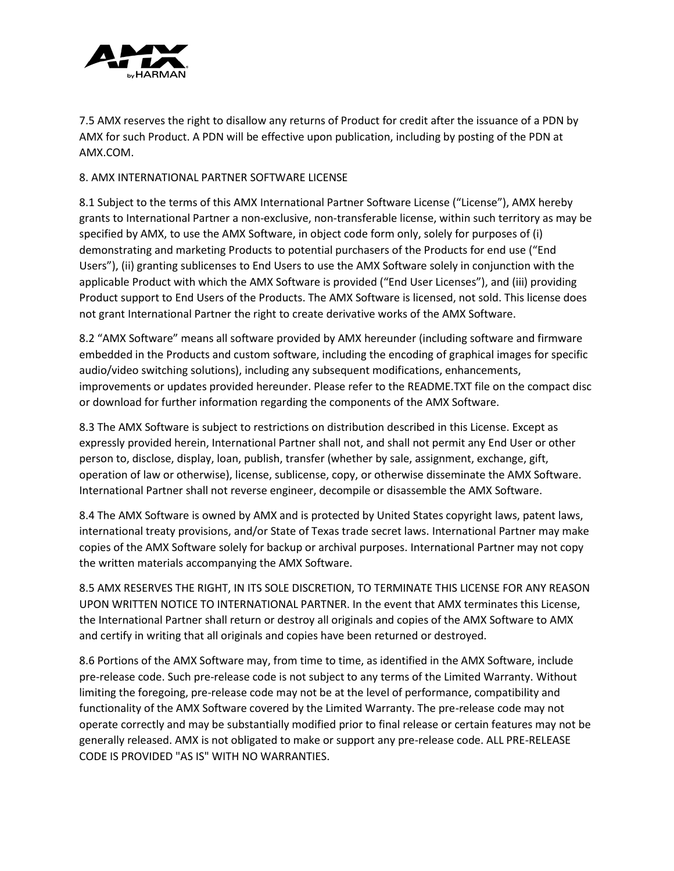

7.5 AMX reserves the right to disallow any returns of Product for credit after the issuance of a PDN by AMX for such Product. A PDN will be effective upon publication, including by posting of the PDN at AMX.COM.

#### 8. AMX INTERNATIONAL PARTNER SOFTWARE LICENSE

8.1 Subject to the terms of this AMX International Partner Software License ("License"), AMX hereby grants to International Partner a non-exclusive, non-transferable license, within such territory as may be specified by AMX, to use the AMX Software, in object code form only, solely for purposes of (i) demonstrating and marketing Products to potential purchasers of the Products for end use ("End Users"), (ii) granting sublicenses to End Users to use the AMX Software solely in conjunction with the applicable Product with which the AMX Software is provided ("End User Licenses"), and (iii) providing Product support to End Users of the Products. The AMX Software is licensed, not sold. This license does not grant International Partner the right to create derivative works of the AMX Software.

8.2 "AMX Software" means all software provided by AMX hereunder (including software and firmware embedded in the Products and custom software, including the encoding of graphical images for specific audio/video switching solutions), including any subsequent modifications, enhancements, improvements or updates provided hereunder. Please refer to the README.TXT file on the compact disc or download for further information regarding the components of the AMX Software.

8.3 The AMX Software is subject to restrictions on distribution described in this License. Except as expressly provided herein, International Partner shall not, and shall not permit any End User or other person to, disclose, display, loan, publish, transfer (whether by sale, assignment, exchange, gift, operation of law or otherwise), license, sublicense, copy, or otherwise disseminate the AMX Software. International Partner shall not reverse engineer, decompile or disassemble the AMX Software.

8.4 The AMX Software is owned by AMX and is protected by United States copyright laws, patent laws, international treaty provisions, and/or State of Texas trade secret laws. International Partner may make copies of the AMX Software solely for backup or archival purposes. International Partner may not copy the written materials accompanying the AMX Software.

8.5 AMX RESERVES THE RIGHT, IN ITS SOLE DISCRETION, TO TERMINATE THIS LICENSE FOR ANY REASON UPON WRITTEN NOTICE TO INTERNATIONAL PARTNER. In the event that AMX terminates this License, the International Partner shall return or destroy all originals and copies of the AMX Software to AMX and certify in writing that all originals and copies have been returned or destroyed.

8.6 Portions of the AMX Software may, from time to time, as identified in the AMX Software, include pre-release code. Such pre-release code is not subject to any terms of the Limited Warranty. Without limiting the foregoing, pre-release code may not be at the level of performance, compatibility and functionality of the AMX Software covered by the Limited Warranty. The pre-release code may not operate correctly and may be substantially modified prior to final release or certain features may not be generally released. AMX is not obligated to make or support any pre-release code. ALL PRE-RELEASE CODE IS PROVIDED "AS IS" WITH NO WARRANTIES.